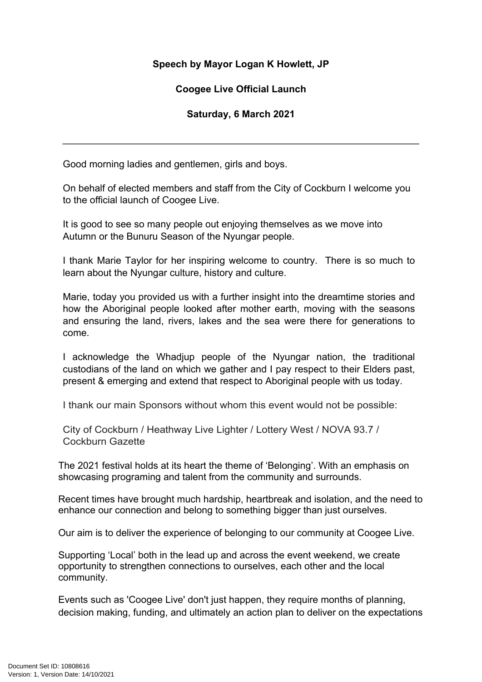## **Speech by Mayor Logan K Howlett, JP**

## **Coogee Live Official Launch**

## **Saturday, 6 March 2021**

\_\_\_\_\_\_\_\_\_\_\_\_\_\_\_\_\_\_\_\_\_\_\_\_\_\_\_\_\_\_\_\_\_\_\_\_\_\_\_\_\_\_\_\_\_\_\_\_\_\_\_\_\_\_\_\_\_\_\_\_\_\_\_\_\_\_

Good morning ladies and gentlemen, girls and boys.

On behalf of elected members and staff from the City of Cockburn I welcome you to the official launch of Coogee Live.

It is good to see so many people out enjoying themselves as we move into Autumn or the Bunuru Season of the Nyungar people.

I thank Marie Taylor for her inspiring welcome to country. There is so much to learn about the Nyungar culture, history and culture.

Marie, today you provided us with a further insight into the dreamtime stories and how the Aboriginal people looked after mother earth, moving with the seasons and ensuring the land, rivers, lakes and the sea were there for generations to come.

I acknowledge the Whadjup people of the Nyungar nation, the traditional custodians of the land on which we gather and I pay respect to their Elders past, present & emerging and extend that respect to Aboriginal people with us today.

I thank our main Sponsors without whom this event would not be possible:

City of Cockburn / Heathway Live Lighter / Lottery West / NOVA 93.7 / Cockburn Gazette

The 2021 festival holds at its heart the theme of 'Belonging'. With an emphasis on showcasing programing and talent from the community and surrounds.

Recent times have brought much hardship, heartbreak and isolation, and the need to enhance our connection and belong to something bigger than just ourselves.

Our aim is to deliver the experience of belonging to our community at Coogee Live.

Supporting 'Local' both in the lead up and across the event weekend, we create opportunity to strengthen connections to ourselves, each other and the local community.

Events such as 'Coogee Live' don't just happen, they require months of planning, decision making, funding, and ultimately an action plan to deliver on the expectations